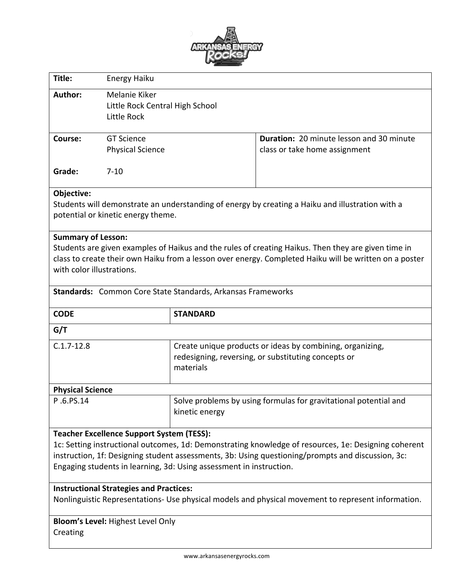

| Title:                                                                                                                                                                                                                                                                                                                               | <b>Energy Haiku</b>                                                                                                           |                                                             |                                                                                  |  |  |  |
|--------------------------------------------------------------------------------------------------------------------------------------------------------------------------------------------------------------------------------------------------------------------------------------------------------------------------------------|-------------------------------------------------------------------------------------------------------------------------------|-------------------------------------------------------------|----------------------------------------------------------------------------------|--|--|--|
| Author:                                                                                                                                                                                                                                                                                                                              | Melanie Kiker<br>Little Rock Central High School<br>Little Rock                                                               |                                                             |                                                                                  |  |  |  |
| Course:                                                                                                                                                                                                                                                                                                                              | <b>GT Science</b><br><b>Physical Science</b>                                                                                  |                                                             | <b>Duration: 20 minute lesson and 30 minute</b><br>class or take home assignment |  |  |  |
| Grade:                                                                                                                                                                                                                                                                                                                               | $7 - 10$                                                                                                                      |                                                             |                                                                                  |  |  |  |
| Objective:<br>Students will demonstrate an understanding of energy by creating a Haiku and illustration with a<br>potential or kinetic energy theme.                                                                                                                                                                                 |                                                                                                                               |                                                             |                                                                                  |  |  |  |
| <b>Summary of Lesson:</b><br>Students are given examples of Haikus and the rules of creating Haikus. Then they are given time in<br>class to create their own Haiku from a lesson over energy. Completed Haiku will be written on a poster<br>with color illustrations.                                                              |                                                                                                                               |                                                             |                                                                                  |  |  |  |
|                                                                                                                                                                                                                                                                                                                                      |                                                                                                                               | Standards: Common Core State Standards, Arkansas Frameworks |                                                                                  |  |  |  |
| <b>CODE</b>                                                                                                                                                                                                                                                                                                                          |                                                                                                                               | <b>STANDARD</b>                                             |                                                                                  |  |  |  |
| G/T                                                                                                                                                                                                                                                                                                                                  |                                                                                                                               |                                                             |                                                                                  |  |  |  |
| $C.1.7-12.8$                                                                                                                                                                                                                                                                                                                         | Create unique products or ideas by combining, organizing,<br>redesigning, reversing, or substituting concepts or<br>materials |                                                             |                                                                                  |  |  |  |
| <b>Physical Science</b>                                                                                                                                                                                                                                                                                                              |                                                                                                                               |                                                             |                                                                                  |  |  |  |
| P.6.PS.14                                                                                                                                                                                                                                                                                                                            |                                                                                                                               | kinetic energy                                              | Solve problems by using formulas for gravitational potential and                 |  |  |  |
| <b>Teacher Excellence Support System (TESS):</b><br>1c: Setting instructional outcomes, 1d: Demonstrating knowledge of resources, 1e: Designing coherent<br>instruction, 1f: Designing student assessments, 3b: Using questioning/prompts and discussion, 3c:<br>Engaging students in learning, 3d: Using assessment in instruction. |                                                                                                                               |                                                             |                                                                                  |  |  |  |
| <b>Instructional Strategies and Practices:</b><br>Nonlinguistic Representations- Use physical models and physical movement to represent information.                                                                                                                                                                                 |                                                                                                                               |                                                             |                                                                                  |  |  |  |
| <b>Bloom's Level: Highest Level Only</b><br>Creating                                                                                                                                                                                                                                                                                 |                                                                                                                               |                                                             |                                                                                  |  |  |  |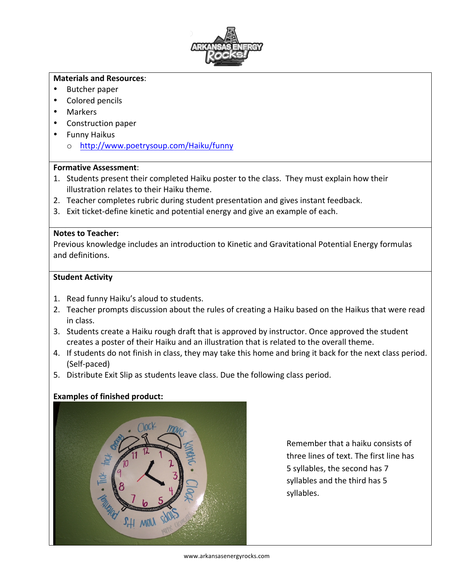

#### **Materials and Resources**:

- Butcher paper
- Colored pencils
- Markers
- Construction paper
- Funny Haikus
	- o http://www.poetrysoup.com/Haiku/funny

### **Formative Assessment**:

- 1. Students present their completed Haiku poster to the class. They must explain how their illustration relates to their Haiku theme.
- 2. Teacher completes rubric during student presentation and gives instant feedback.
- 3. Exit ticket-define kinetic and potential energy and give an example of each.

#### **Notes to Teacher:**

Previous knowledge includes an introduction to Kinetic and Gravitational Potential Energy formulas and definitions. 

### **Student Activity**

- 1. Read funny Haiku's aloud to students.
- 2. Teacher prompts discussion about the rules of creating a Haiku based on the Haikus that were read in class.
- 3. Students create a Haiku rough draft that is approved by instructor. Once approved the student creates a poster of their Haiku and an illustration that is related to the overall theme.
- 4. If students do not finish in class, they may take this home and bring it back for the next class period. (Self-paced)
- 5. Distribute Exit Slip as students leave class. Due the following class period.

### **Examples of finished product:**



Remember that a haiku consists of three lines of text. The first line has 5 syllables, the second has 7 syllables and the third has 5 syllables.

www.arkansasenergyrocks.com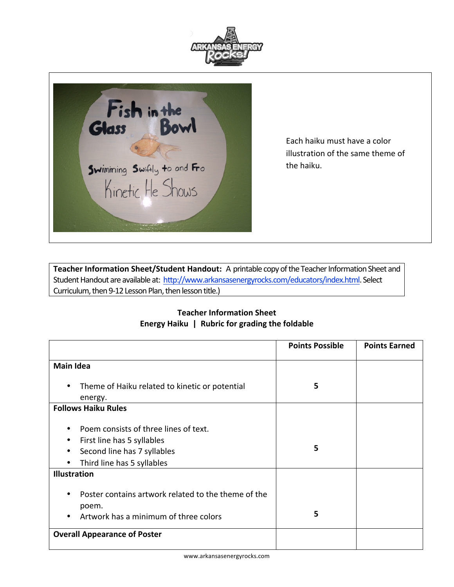



Each haiku must have a color illustration of the same theme of the haiku.

**Teacher Information Sheet/Student Handout:** A printable copy of the Teacher Information Sheet and Student Handout are available at: http://www.arkansasenergyrocks.com/educators/index.html. Select Curriculum, then 9-12 Lesson Plan, then lesson title.)

## **Teacher Information Sheet Energy Haiku | Rubric for grading the foldable**

|                                                     | <b>Points Possible</b> | <b>Points Earned</b> |
|-----------------------------------------------------|------------------------|----------------------|
| <b>Main Idea</b>                                    |                        |                      |
|                                                     |                        |                      |
| Theme of Haiku related to kinetic or potential      | 5                      |                      |
| energy.                                             |                        |                      |
| <b>Follows Haiku Rules</b>                          |                        |                      |
|                                                     |                        |                      |
| Poem consists of three lines of text.               |                        |                      |
| First line has 5 syllables                          |                        |                      |
| Second line has 7 syllables                         | 5                      |                      |
| Third line has 5 syllables                          |                        |                      |
| <b>Illustration</b>                                 |                        |                      |
|                                                     |                        |                      |
| Poster contains artwork related to the theme of the |                        |                      |
| poem.                                               |                        |                      |
| Artwork has a minimum of three colors               | 5                      |                      |
| <b>Overall Appearance of Poster</b>                 |                        |                      |
|                                                     |                        |                      |